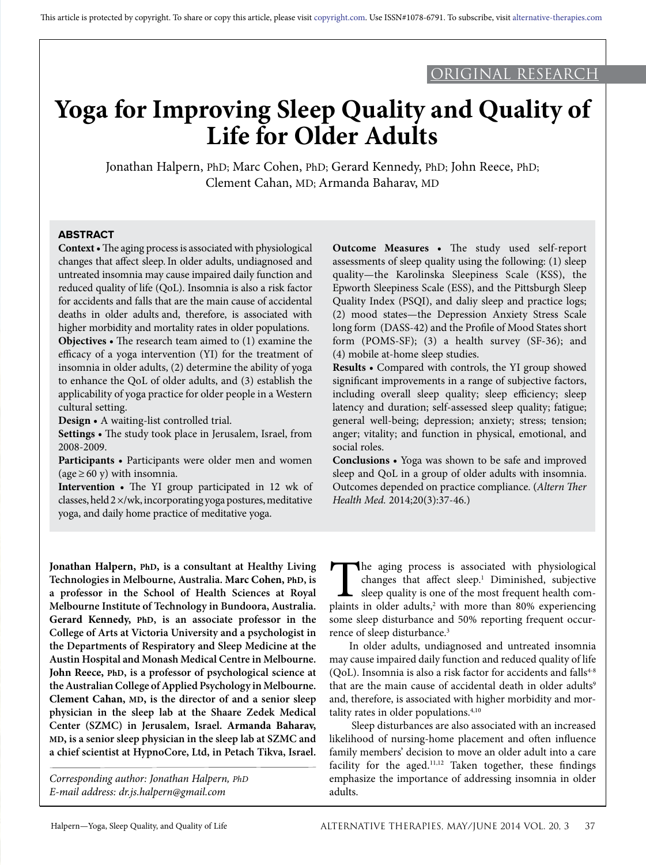# ORIGINAL RESEARCH

# **Yoga for Improving Sleep Quality and Quality of Life for Older Adults**

Jonathan Halpern, PhD; Marc Cohen, PhD; Gerard Kennedy, PhD; John Reece, PhD; Clement Cahan, MD; Armanda Baharav, MD

## **ABSTRACT**

**Context •** The aging process is associated with physiological changes that affect sleep.In older adults, undiagnosed and untreated insomnia may cause impaired daily function and reduced quality of life (QoL). Insomnia is also a risk factor for accidents and falls that are the main cause of accidental deaths in older adults and, therefore, is associated with higher morbidity and mortality rates in older populations. **Objectives •** The research team aimed to (1) examine the

efficacy of a yoga intervention (YI) for the treatment of insomnia in older adults, (2) determine the ability of yoga to enhance the QoL of older adults, and (3) establish the applicability of yoga practice for older people in a Western cultural setting.

**Design •** A waiting-list controlled trial.

**Settings •** The study took place in Jerusalem, Israel, from 2008-2009.

**Participants •** Participants were older men and women (age  $\geq$  60 y) with insomnia.

**Intervention •** The YI group participated in 12 wk of classes, held 2 ×/wk, incorporating yoga postures, meditative yoga, and daily home practice of meditative yoga.

**Outcome Measures •** The study used self-report assessments of sleep quality using the following: (1) sleep quality—the Karolinska Sleepiness Scale (KSS), the Epworth Sleepiness Scale (ESS), and the Pittsburgh Sleep Quality Index (PSQI), and daliy sleep and practice logs; (2) mood states—the Depression Anxiety Stress Scale long form (DASS-42) and the Profile of Mood States short form (POMS-SF); (3) a health survey (SF-36); and (4) mobile at-home sleep studies.

**Results •** Compared with controls, the YI group showed significant improvements in a range of subjective factors, including overall sleep quality; sleep efficiency; sleep latency and duration; self-assessed sleep quality; fatigue; general well-being; depression; anxiety; stress; tension; anger; vitality; and function in physical, emotional, and social roles.

**Conclusions •** Yoga was shown to be safe and improved sleep and QoL in a group of older adults with insomnia. Outcomes depended on practice compliance. (*Altern Ther Health Med.* 2014;20(3):37-46.)

**Jonathan Halpern, PhD, is a consultant at Healthy Living Technologies in Melbourne, Australia. Marc Cohen, PhD, is a professor in the School of Health Sciences at Royal Melbourne Institute of Technology in Bundoora, Australia. Gerard Kennedy, PhD, is an associate professor in the College of Arts at Victoria University and a psychologist in the Departments of Respiratory and Sleep Medicine at the Austin Hospital and Monash Medical Centre in Melbourne. John Reece, PhD, is a professor of psychological science at the Australian College of Applied Psychology in Melbourne. Clement Cahan, MD, is the director of and a senior sleep physician in the sleep lab at the Shaare Zedek Medical Center (SZMC) in Jerusalem, Israel. Armanda Baharav, MD, is a senior sleep physician in the sleep lab at SZMC and a chief scientist at HypnoCore, Ltd, in Petach Tikva, Israel.**

*Corresponding author: Jonathan Halpern, PhD E-mail address: dr.js.halpern@gmail.com*

The aging process is associated with physiological changes that affect sleep.<sup>1</sup> Diminished, subjective sleep quality is one of the most frequent health complaints in older adults.<sup>2</sup> with more than 80% experiencing changes that affect sleep.<sup>1</sup> Diminished, subjective sleep quality is one of the most frequent health complaints in older adults,<sup>2</sup> with more than 80% experiencing some sleep disturbance and 50% reporting frequent occurrence of sleep disturbance.<sup>3</sup>

In older adults, undiagnosed and untreated insomnia may cause impaired daily function and reduced quality of life (QoL). Insomnia is also a risk factor for accidents and falls $4-8$ that are the main cause of accidental death in older adults<sup>9</sup> and, therefore, is associated with higher morbidity and mortality rates in older populations.<sup>4,10</sup>

 Sleep disturbances are also associated with an increased likelihood of nursing-home placement and often influence family members' decision to move an older adult into a care facility for the aged. $11,12$  Taken together, these findings emphasize the importance of addressing insomnia in older adults.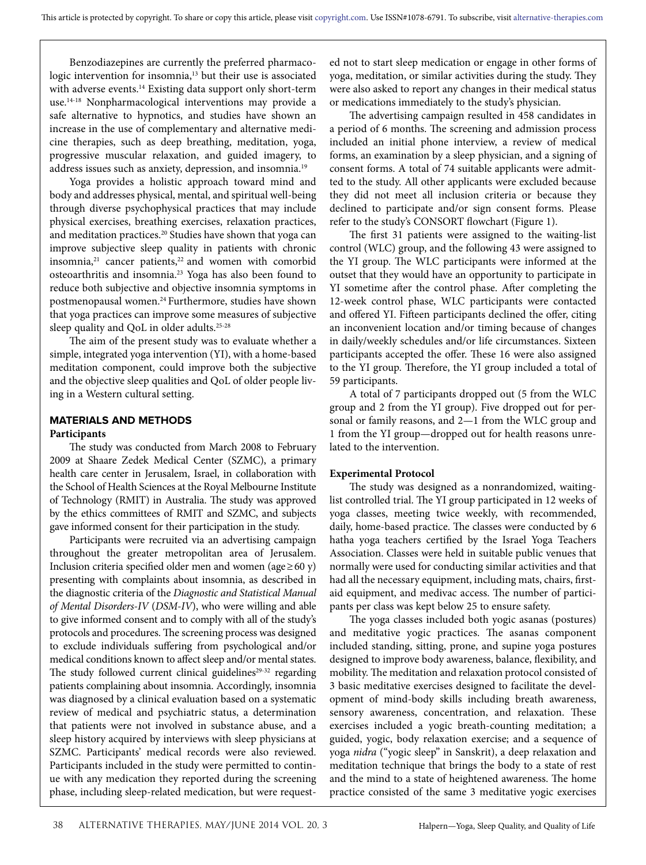Benzodiazepines are currently the preferred pharmacologic intervention for insomnia,<sup>13</sup> but their use is associated with adverse events.<sup>14</sup> Existing data support only short-term use.14-18 Nonpharmacological interventions may provide a safe alternative to hypnotics, and studies have shown an increase in the use of complementary and alternative medicine therapies, such as deep breathing, meditation, yoga, progressive muscular relaxation, and guided imagery, to address issues such as anxiety, depression, and insomnia.19

Yoga provides a holistic approach toward mind and body and addresses physical, mental, and spiritual well-being through diverse psychophysical practices that may include physical exercises, breathing exercises, relaxation practices, and meditation practices.<sup>20</sup> Studies have shown that yoga can improve subjective sleep quality in patients with chronic insomnia, $21$  cancer patients, $22$  and women with comorbid osteoarthritis and insomnia.23 Yoga has also been found to reduce both subjective and objective insomnia symptoms in postmenopausal women.24 Furthermore, studies have shown that yoga practices can improve some measures of subjective sleep quality and QoL in older adults.<sup>25-28</sup>

The aim of the present study was to evaluate whether a simple, integrated yoga intervention (YI), with a home-based meditation component, could improve both the subjective and the objective sleep qualities and QoL of older people living in a Western cultural setting.

#### **MATERIALS AND METHODS Participants**

The study was conducted from March 2008 to February 2009 at Shaare Zedek Medical Center (SZMC), a primary health care center in Jerusalem, Israel, in collaboration with the School of Health Sciences at the Royal Melbourne Institute of Technology (RMIT) in Australia. The study was approved by the ethics committees of RMIT and SZMC, and subjects gave informed consent for their participation in the study.

Participants were recruited via an advertising campaign throughout the greater metropolitan area of Jerusalem. Inclusion criteria specified older men and women (age≥60 y) presenting with complaints about insomnia, as described in the diagnostic criteria of the *Diagnostic and Statistical Manual of Mental Disorders-IV* (*DSM-IV*), who were willing and able to give informed consent and to comply with all of the study's protocols and procedures. The screening process was designed to exclude individuals suffering from psychological and/or medical conditions known to affect sleep and/or mental states. The study followed current clinical guidelines<sup>29-32</sup> regarding patients complaining about insomnia. Accordingly, insomnia was diagnosed by a clinical evaluation based on a systematic review of medical and psychiatric status, a determination that patients were not involved in substance abuse, and a sleep history acquired by interviews with sleep physicians at SZMC. Participants' medical records were also reviewed. Participants included in the study were permitted to continue with any medication they reported during the screening phase, including sleep-related medication, but were requested not to start sleep medication or engage in other forms of yoga, meditation, or similar activities during the study. They were also asked to report any changes in their medical status or medications immediately to the study's physician.

The advertising campaign resulted in 458 candidates in a period of 6 months. The screening and admission process included an initial phone interview, a review of medical forms, an examination by a sleep physician, and a signing of consent forms. A total of 74 suitable applicants were admitted to the study. All other applicants were excluded because they did not meet all inclusion criteria or because they declined to participate and/or sign consent forms. Please refer to the study's CONSORT flowchart (Figure 1).

The first 31 patients were assigned to the waiting-list control (WLC) group, and the following 43 were assigned to the YI group. The WLC participants were informed at the outset that they would have an opportunity to participate in YI sometime after the control phase. After completing the 12-week control phase, WLC participants were contacted and offered YI. Fifteen participants declined the offer, citing an inconvenient location and/or timing because of changes in daily/weekly schedules and/or life circumstances. Sixteen participants accepted the offer. These 16 were also assigned to the YI group. Therefore, the YI group included a total of 59 participants.

A total of 7 participants dropped out (5 from the WLC group and 2 from the YI group). Five dropped out for personal or family reasons, and 2—1 from the WLC group and 1 from the YI group—dropped out for health reasons unrelated to the intervention.

### **Experimental Protocol**

The study was designed as a nonrandomized, waitinglist controlled trial. The YI group participated in 12 weeks of yoga classes, meeting twice weekly, with recommended, daily, home-based practice. The classes were conducted by 6 hatha yoga teachers certified by the Israel Yoga Teachers Association. Classes were held in suitable public venues that normally were used for conducting similar activities and that had all the necessary equipment, including mats, chairs, firstaid equipment, and medivac access. The number of participants per class was kept below 25 to ensure safety.

The yoga classes included both yogic asanas (postures) and meditative yogic practices. The asanas component included standing, sitting, prone, and supine yoga postures designed to improve body awareness, balance, flexibility, and mobility. The meditation and relaxation protocol consisted of 3 basic meditative exercises designed to facilitate the development of mind-body skills including breath awareness, sensory awareness, concentration, and relaxation. These exercises included a yogic breath-counting meditation; a guided, yogic, body relaxation exercise; and a sequence of yoga *nidra* ("yogic sleep" in Sanskrit), a deep relaxation and meditation technique that brings the body to a state of rest and the mind to a state of heightened awareness. The home practice consisted of the same 3 meditative yogic exercises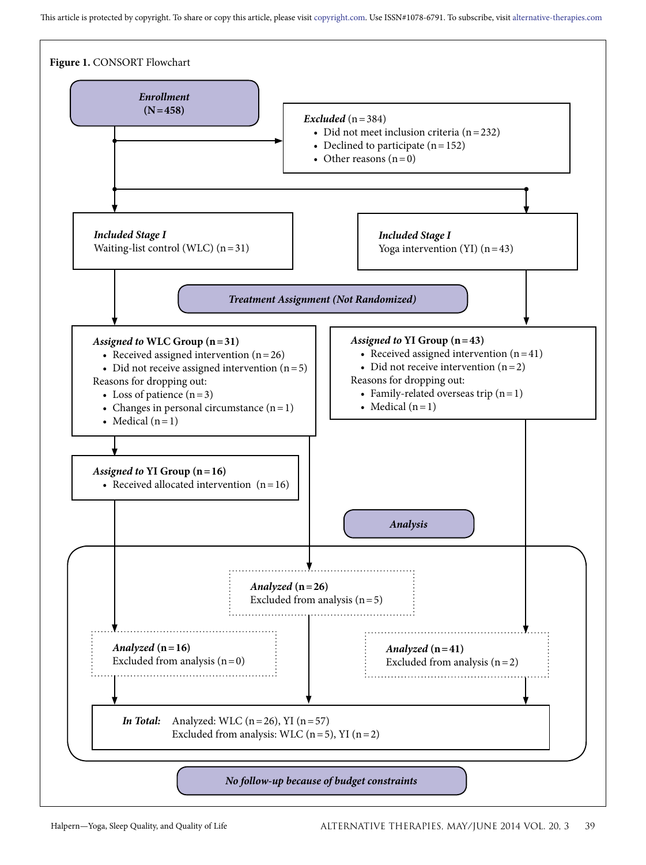This article is protected by copyright. To share or copy this article, please visit copyright.com. Use ISSN#1078-6791. To subscribe, visit alternative-therapies.com

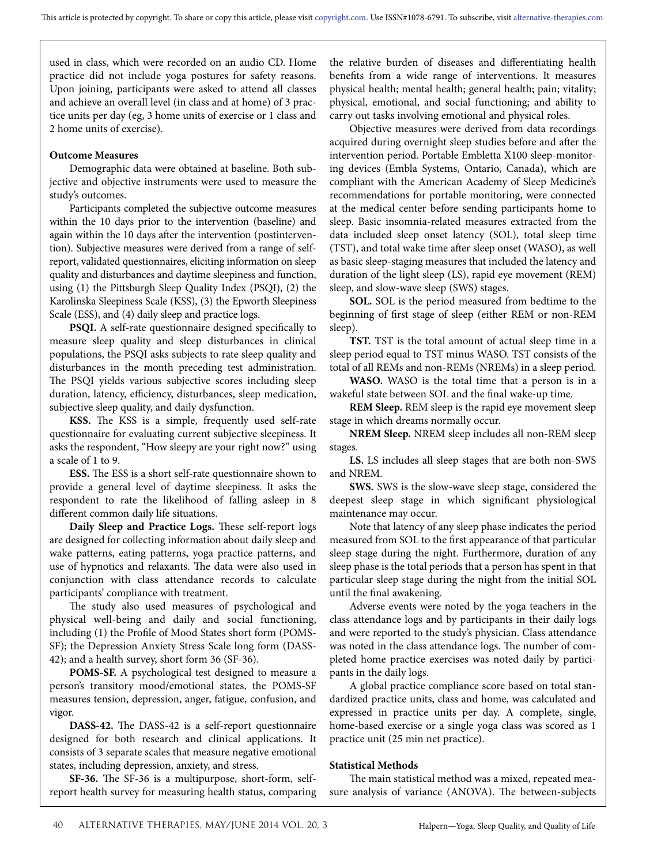used in class, which were recorded on an audio CD. Home practice did not include yoga postures for safety reasons. Upon joining, participants were asked to attend all classes and achieve an overall level (in class and at home) of 3 practice units per day (eg, 3 home units of exercise or 1 class and 2 home units of exercise).

#### **Outcome Measures**

Demographic data were obtained at baseline. Both subjective and objective instruments were used to measure the study's outcomes.

Participants completed the subjective outcome measures within the 10 days prior to the intervention (baseline) and again within the 10 days after the intervention (postintervention). Subjective measures were derived from a range of selfreport, validated questionnaires, eliciting information on sleep quality and disturbances and daytime sleepiness and function, using (1) the Pittsburgh Sleep Quality Index (PSQI), (2) the Karolinska Sleepiness Scale (KSS), (3) the Epworth Sleepiness Scale (ESS), and (4) daily sleep and practice logs.

**PSQI.** A self-rate questionnaire designed specifically to measure sleep quality and sleep disturbances in clinical populations, the PSQI asks subjects to rate sleep quality and disturbances in the month preceding test administration. The PSQI yields various subjective scores including sleep duration, latency, efficiency, disturbances, sleep medication, subjective sleep quality, and daily dysfunction.

**KSS.** The KSS is a simple, frequently used self-rate questionnaire for evaluating current subjective sleepiness. It asks the respondent, "How sleepy are your right now?" using a scale of 1 to 9.

**ESS.** The ESS is a short self-rate questionnaire shown to provide a general level of daytime sleepiness. It asks the respondent to rate the likelihood of falling asleep in 8 different common daily life situations.

**Daily Sleep and Practice Logs.** These self-report logs are designed for collecting information about daily sleep and wake patterns, eating patterns, yoga practice patterns, and use of hypnotics and relaxants. The data were also used in conjunction with class attendance records to calculate participants' compliance with treatment.

The study also used measures of psychological and physical well-being and daily and social functioning, including (1) the Profile of Mood States short form (POMS-SF); the Depression Anxiety Stress Scale long form (DASS-42); and a health survey, short form 36 (SF-36).

**POMS-SF.** A psychological test designed to measure a person's transitory mood/emotional states, the POMS-SF measures tension, depression, anger, fatigue, confusion, and vigor.

**DASS-42.** The DASS-42 is a self-report questionnaire designed for both research and clinical applications. It consists of 3 separate scales that measure negative emotional states, including depression, anxiety, and stress.

**SF-36.** The SF-36 is a multipurpose, short-form, selfreport health survey for measuring health status, comparing the relative burden of diseases and differentiating health benefits from a wide range of interventions. It measures physical health; mental health; general health; pain; vitality; physical, emotional, and social functioning; and ability to carry out tasks involving emotional and physical roles.

Objective measures were derived from data recordings acquired during overnight sleep studies before and after the intervention period. Portable Embletta X100 sleep-monitoring devices (Embla Systems, Ontario, Canada), which are compliant with the American Academy of Sleep Medicine's recommendations for portable monitoring, were connected at the medical center before sending participants home to sleep. Basic insomnia-related measures extracted from the data included sleep onset latency (SOL), total sleep time (TST), and total wake time after sleep onset (WASO), as well as basic sleep-staging measures that included the latency and duration of the light sleep (LS), rapid eye movement (REM) sleep, and slow-wave sleep (SWS) stages.

**SOL.** SOL is the period measured from bedtime to the beginning of first stage of sleep (either REM or non-REM sleep).

**TST.** TST is the total amount of actual sleep time in a sleep period equal to TST minus WASO. TST consists of the total of all REMs and non-REMs (NREMs) in a sleep period.

**WASO.** WASO is the total time that a person is in a wakeful state between SOL and the final wake-up time.

**REM Sleep.** REM sleep is the rapid eye movement sleep stage in which dreams normally occur.

**NREM Sleep.** NREM sleep includes all non-REM sleep stages.

**LS.** LS includes all sleep stages that are both non-SWS and NREM.

**SWS.** SWS is the slow-wave sleep stage, considered the deepest sleep stage in which significant physiological maintenance may occur.

Note that latency of any sleep phase indicates the period measured from SOL to the first appearance of that particular sleep stage during the night. Furthermore, duration of any sleep phase is the total periods that a person has spent in that particular sleep stage during the night from the initial SOL until the final awakening.

Adverse events were noted by the yoga teachers in the class attendance logs and by participants in their daily logs and were reported to the study's physician. Class attendance was noted in the class attendance logs. The number of completed home practice exercises was noted daily by participants in the daily logs.

A global practice compliance score based on total standardized practice units, class and home, was calculated and expressed in practice units per day. A complete, single, home-based exercise or a single yoga class was scored as 1 practice unit (25 min net practice).

### **Statistical Methods**

The main statistical method was a mixed, repeated measure analysis of variance (ANOVA). The between-subjects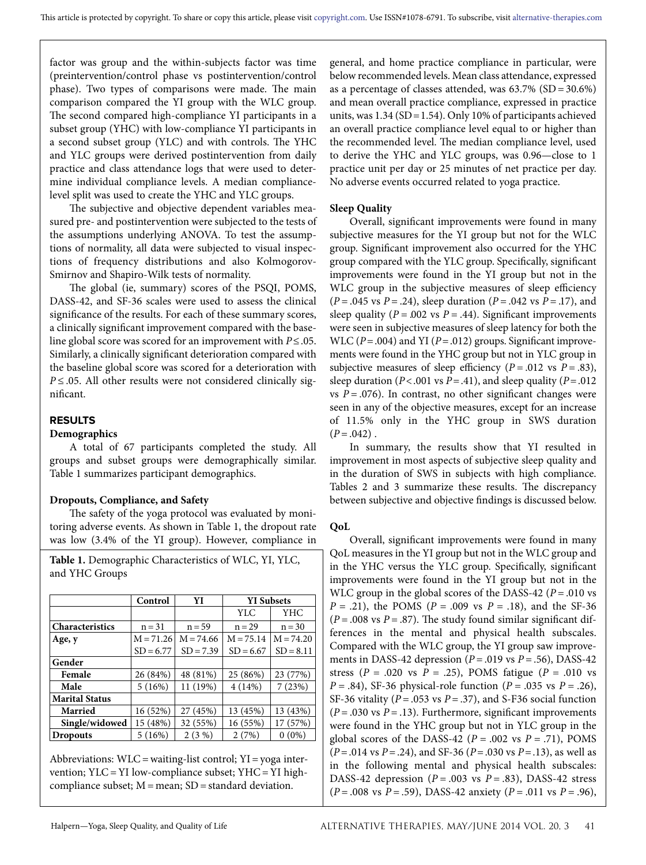factor was group and the within-subjects factor was time (preintervention/control phase vs postintervention/control phase). Two types of comparisons were made. The main comparison compared the YI group with the WLC group. The second compared high-compliance YI participants in a subset group (YHC) with low-compliance YI participants in a second subset group (YLC) and with controls. The YHC and YLC groups were derived postintervention from daily practice and class attendance logs that were used to determine individual compliance levels. A median compliancelevel split was used to create the YHC and YLC groups.

The subjective and objective dependent variables measured pre- and postintervention were subjected to the tests of the assumptions underlying ANOVA. To test the assumptions of normality, all data were subjected to visual inspections of frequency distributions and also Kolmogorov-Smirnov and Shapiro-Wilk tests of normality.

The global (ie, summary) scores of the PSQI, POMS, DASS-42, and SF-36 scales were used to assess the clinical significance of the results. For each of these summary scores, a clinically significant improvement compared with the baseline global score was scored for an improvement with *P*≤.05. Similarly, a clinically significant deterioration compared with the baseline global score was scored for a deterioration with *P* ≤ .05. All other results were not considered clinically significant.

### **RESULTS**

#### **Demographics**

A total of 67 participants completed the study. All groups and subset groups were demographically similar. Table 1 summarizes participant demographics.

### **Dropouts, Compliance, and Safety**

The safety of the yoga protocol was evaluated by monitoring adverse events. As shown in Table 1, the dropout rate was low (3.4% of the YI group). However, compliance in

**Table 1.** Demographic Characteristics of WLC, YI, YLC, and YHC Groups

|                        | Control     | YI          | <b>YI</b> Subsets |             |  |  |  |  |
|------------------------|-------------|-------------|-------------------|-------------|--|--|--|--|
|                        |             |             | YLC               | YHC         |  |  |  |  |
| <b>Characteristics</b> | $n = 31$    | $n = 59$    | $n = 29$          | $n = 30$    |  |  |  |  |
| Age, y                 | $M = 71.26$ | $M = 74.66$ | $M = 75.14$       | $M = 74.20$ |  |  |  |  |
|                        | $SD = 6.77$ | $SD = 7.39$ | $SD = 6.67$       | $SD = 8.11$ |  |  |  |  |
| Gender                 |             |             |                   |             |  |  |  |  |
| Female                 | 26 (84%)    | 48 (81%)    | 25 (86%)          | 23 (77%)    |  |  |  |  |
| Male                   | 5(16%)      | 11 (19%)    | 4(14%)            | 7(23%)      |  |  |  |  |
| <b>Marital Status</b>  |             |             |                   |             |  |  |  |  |
| <b>Married</b>         | 16 (52%)    | 27 (45%)    | 13 (45%)          | 13 (43%)    |  |  |  |  |
| Single/widowed         | 15 (48%)    | 32 (55%)    | 16 (55%)          | 17 (57%)    |  |  |  |  |
| <b>Dropouts</b>        | 5(16%)      | $2(3\%)$    | 2(7%)             | $0(0\%)$    |  |  |  |  |

Abbreviations: WLC = waiting-list control; YI = yoga intervention; YLC = YI low-compliance subset; YHC = YI highcompliance subset;  $M =$  mean;  $SD =$  standard deviation.

general, and home practice compliance in particular, were below recommended levels. Mean class attendance, expressed as a percentage of classes attended, was  $63.7\%$  (SD =  $30.6\%$ ) and mean overall practice compliance, expressed in practice units, was 1.34 (SD=1.54). Only 10% of participants achieved an overall practice compliance level equal to or higher than the recommended level. The median compliance level, used to derive the YHC and YLC groups, was 0.96—close to 1 practice unit per day or 25 minutes of net practice per day. No adverse events occurred related to yoga practice.

#### **Sleep Quality**

Overall, significant improvements were found in many subjective measures for the YI group but not for the WLC group. Significant improvement also occurred for the YHC group compared with the YLC group. Specifically, significant improvements were found in the YI group but not in the WLC group in the subjective measures of sleep efficiency (*P* = .045 vs *P* = .24), sleep duration (*P* = .042 vs *P* = .17), and sleep quality ( $P = 0.002$  vs  $P = .44$ ). Significant improvements were seen in subjective measures of sleep latency for both the WLC ( $P = .004$ ) and YI ( $P = .012$ ) groups. Significant improvements were found in the YHC group but not in YLC group in subjective measures of sleep efficiency  $(P = .012 \text{ vs } P = .83)$ , sleep duration ( $P < .001$  vs  $P = .41$ ), and sleep quality ( $P = .012$ ) vs  $P = .076$ ). In contrast, no other significant changes were seen in any of the objective measures, except for an increase of 11.5% only in the YHC group in SWS duration  $(P=.042)$ .

In summary, the results show that YI resulted in improvement in most aspects of subjective sleep quality and in the duration of SWS in subjects with high compliance. Tables 2 and 3 summarize these results. The discrepancy between subjective and objective findings is discussed below.

#### **QoL**

Overall, significant improvements were found in many QoL measures in the YI group but not in the WLC group and in the YHC versus the YLC group. Specifically, significant improvements were found in the YI group but not in the WLC group in the global scores of the DASS-42 (*P* = .010 vs *P* = .21), the POMS (*P* = .009 vs *P* = .18), and the SF-36  $(P = .008 \text{ vs } P = .87)$ . The study found similar significant differences in the mental and physical health subscales. Compared with the WLC group, the YI group saw improvements in DASS-42 depression (*P* = .019 vs *P* = .56), DASS-42 stress ( $P = .020$  vs  $P = .25$ ), POMS fatigue ( $P = .010$  vs *P* = .84), SF-36 physical-role function (*P* = .035 vs *P* = .26), SF-36 vitality ( $P = .053$  vs  $P = .37$ ), and S-F36 social function  $(P = .030 \text{ vs } P = .13)$ . Furthermore, significant improvements were found in the YHC group but not in YLC group in the global scores of the DASS-42 ( $P = .002$  vs  $P = .71$ ), POMS (*P* = .014 vs *P* = .24), and SF-36 (*P*=.030 vs *P*=.13), as well as in the following mental and physical health subscales: DASS-42 depression  $(P = .003 \text{ vs } P = .83)$ , DASS-42 stress (*P* = .008 vs *P* = .59), DASS-42 anxiety (*P* = .011 vs *P* = .96),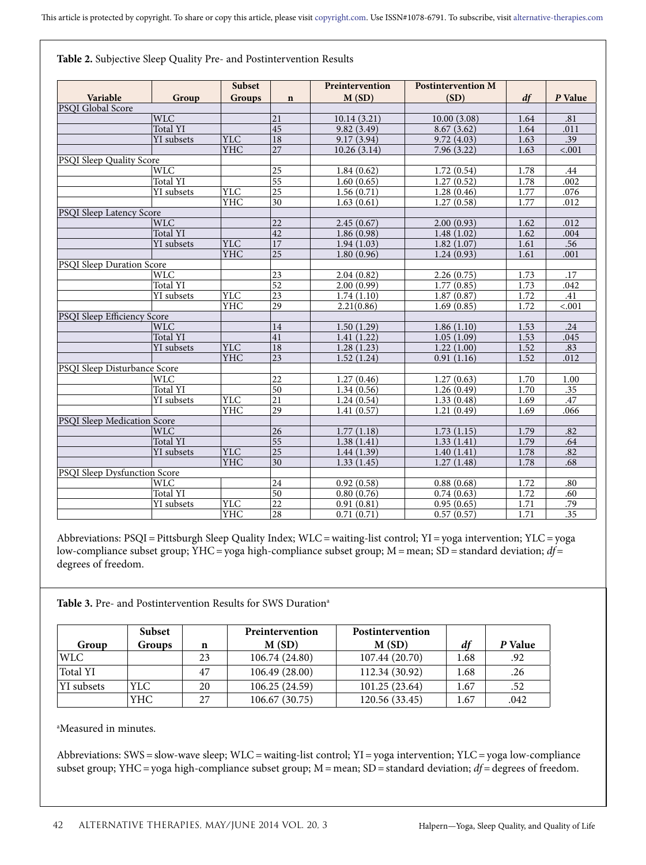|                                  |                         | <b>Subset</b> |                 | Preintervention | <b>Postintervention M</b> |      |                  |
|----------------------------------|-------------------------|---------------|-----------------|-----------------|---------------------------|------|------------------|
| Variable                         | Group                   | <b>Groups</b> | $\mathbf n$     | M(SD)           | (SD)                      | df   | P Value          |
| PSQI Global Score                |                         |               |                 |                 |                           |      |                  |
|                                  | <b>WLC</b>              |               | 21              | 10.14(3.21)     | 10.00(3.08)               | 1.64 | .81              |
|                                  | Total YI                |               | $\overline{45}$ | 9.82(3.49)      | 8.67(3.62)                | 1.64 | .011             |
|                                  | YI subsets              | <b>YLC</b>    | $\overline{18}$ | 9.17(3.94)      | 9.72(4.03)                | 1.63 | .39              |
|                                  |                         | <b>YHC</b>    | 27              | 10.26(3.14)     | 7.96(3.22)                | 1.63 | < .001           |
| <b>PSOI Sleep Quality Score</b>  |                         |               |                 |                 |                           |      |                  |
|                                  | <b>WLC</b>              |               | $\overline{25}$ | 1.84(0.62)      | 1.72(0.54)                | 1.78 | .44              |
|                                  | Total YI                |               | 55              | 1.60(0.65)      | $\overline{1.27}$ (0.52)  | 1.78 | .002             |
|                                  | YI subsets              | <b>YLC</b>    | $\overline{25}$ | 1.56(0.71)      | 1.28(0.46)                | 1.77 | .076             |
|                                  |                         | YHC           | 30              | 1.63(0.61)      | 1.27(0.58)                | 1.77 | .012             |
| PSQI Sleep Latency Score         |                         |               |                 |                 |                           |      |                  |
|                                  | <b>WLC</b>              |               | 22              | 2.45(0.67)      | 2.00(0.93)                | 1.62 | .012             |
|                                  | Total YI                |               | 42              | 1.86(0.98)      | 1.48(1.02)                | 1.62 | .004             |
|                                  | <b>YI</b> subsets       | <b>YLC</b>    | $\overline{17}$ | 1.94(1.03)      | 1.82(1.07)                | 1.61 | .56              |
|                                  |                         | <b>YHC</b>    | $\overline{25}$ | 1.80(0.96)      | 1.24(0.93)                | 1.61 | .001             |
| <b>PSQI Sleep Duration Score</b> |                         |               |                 |                 |                           |      |                  |
|                                  | <b>WLC</b>              |               | 23              | 2.04(0.82)      | 2.26(0.75)                | 1.73 | .17              |
|                                  | Total YI                |               | 52              | 2.00(0.99)      | 1.77(0.85)                | 1.73 | .042             |
|                                  | YI subsets              | <b>YLC</b>    | $\overline{23}$ | 1.74(1.10)      | 1.87(0.87)                | 1.72 | .41              |
|                                  |                         | <b>YHC</b>    | 29              | 2.21(0.86)      | 1.69(0.85)                | 1.72 | < .001           |
| PSQI Sleep Efficiency Score      |                         |               |                 |                 |                           |      |                  |
|                                  | $\overline{\text{WLC}}$ |               | 14              | 1.50(1.29)      | 1.86(1.10)                | 1.53 | .24              |
|                                  | <b>Total YI</b>         |               | $\overline{41}$ | 1.41(1.22)      | 1.05(1.09)                | 1.53 | .045             |
|                                  | YI subsets              | <b>YLC</b>    | 18              | 1.28(1.23)      | 1.22(1.00)                | 1.52 | .83              |
|                                  |                         | <b>YHC</b>    | $ 23\rangle$    | 1.52(1.24)      | 0.91(1.16)                | 1.52 | .012             |
| PSQI Sleep Disturbance Score     |                         |               |                 |                 |                           |      |                  |
|                                  | <b>WLC</b>              |               | $\overline{22}$ | 1.27(0.46)      | 1.27(0.63)                | 1.70 | 1.00             |
|                                  | <b>Total YI</b>         |               | $\overline{50}$ | 1.34(0.56)      | 1.26(0.49)                | 1.70 | .35              |
|                                  | YI subsets              | <b>YLC</b>    | 21              | 1.24(0.54)      | 1.33(0.48)                | 1.69 | .47              |
|                                  |                         | YHC           | 29              | 1.41(0.57)      | 1.21(0.49)                | 1.69 | .066             |
| PSQI Sleep Medication Score      |                         |               |                 |                 |                           |      |                  |
|                                  | <b>WLC</b>              |               | 26              | 1.77(1.18)      | 1.73(1.15)                | 1.79 | .82              |
|                                  | <b>Total YI</b>         |               | 55              | 1.38(1.41)      | 1.33(1.41)                | 1.79 | .64              |
|                                  | YI subsets              | <b>YLC</b>    | $\overline{25}$ | 1.44(1.39)      | 1.40(1.41)                | 1.78 | .82              |
|                                  |                         | <b>YHC</b>    | 30              | 1.33(1.45)      | 1.27(1.48)                | 1.78 | .68              |
| PSQI Sleep Dysfunction Score     |                         |               |                 |                 |                           |      |                  |
|                                  | <b>WLC</b>              |               | 24              | 0.92(0.58)      | 0.88(0.68)                | 1.72 | .80              |
|                                  | Total YI                |               | 50              | 0.80(0.76)      | 0.74(0.63)                | 1.72 | .60              |
|                                  | YI subsets              | YLC           | 22              | 0.91(0.81)      | 0.95(0.65)                | 1.71 | .79              |
|                                  |                         | <b>YHC</b>    | $\overline{28}$ | 0.71(0.71)      | 0.57(0.57)                | 1.71 | $\overline{.35}$ |

**Table 2.** Subjective Sleep Quality Pre- and Postintervention Results

Abbreviations: PSQI = Pittsburgh Sleep Quality Index; WLC = waiting-list control; YI = yoga intervention; YLC = yoga low-compliance subset group; YHC = yoga high-compliance subset group; M = mean; SD = standard deviation; *df* = degrees of freedom.

Table 3. Pre- and Postintervention Results for SWS Duration<sup>a</sup>

|            | <b>Subset</b> |     | Preintervention | Postintervention |      |         |
|------------|---------------|-----|-----------------|------------------|------|---------|
| Group      | Groups        | n   | M(SD)           | M(SD)            | df   | P Value |
| WLC        |               | 23  | 106.74 (24.80)  | 107.44 (20.70)   | 1.68 | .92     |
| Total YI   |               | -47 | 106.49 (28.00)  | 112.34 (30.92)   | 1.68 | .26     |
| YI subsets | YLC-          | 20  | 106.25(24.59)   | 101.25(23.64)    | 1.67 | .52     |
|            | YHC           | 27  | 106.67(30.75)   | 120.56 (33.45)   | 1.67 | .042    |

a Measured in minutes.

Abbreviations: SWS = slow-wave sleep; WLC = waiting-list control; YI = yoga intervention; YLC = yoga low-compliance subset group; YHC = yoga high-compliance subset group; M = mean; SD = standard deviation; *df* = degrees of freedom.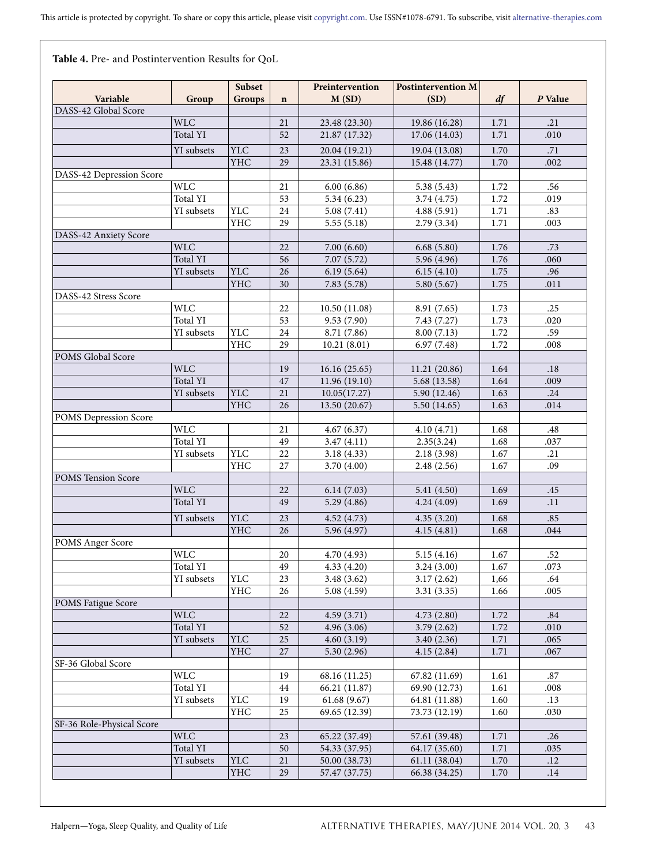**Table 4.** Pre- and Postintervention Results for QoL

|                           |                 | Subset            |             | Preintervention          | <b>Postintervention M</b> |                  |             |
|---------------------------|-----------------|-------------------|-------------|--------------------------|---------------------------|------------------|-------------|
| Variable                  | Group           | <b>Groups</b>     | $\mathbf n$ | M(SD)                    | (SD)                      | df               | P Value     |
| DASS-42 Global Score      |                 |                   |             |                          |                           |                  |             |
|                           | <b>WLC</b>      |                   | 21          | 23.48 (23.30)            | 19.86 (16.28)             | 1.71             | .21         |
|                           | <b>Total YI</b> |                   | 52          | 21.87 (17.32)            | 17.06 (14.03)             | 1.71             | .010        |
|                           | YI subsets      | <b>YLC</b>        |             | 20.04 (19.21)            | 19.04 (13.08)             |                  |             |
|                           |                 | <b>YHC</b>        | 23<br>29    | 23.31 (15.86)            |                           | 1.70<br>$1.70\,$ | .71<br>.002 |
|                           |                 |                   |             |                          | 15.48 (14.77)             |                  |             |
| DASS-42 Depression Score  | <b>WLC</b>      |                   | 21          | 6.00(6.86)               | 5.38(5.43)                | 1.72             | .56         |
|                           | Total YI        |                   | 53          | 5.34(6.23)               | 3.74(4.75)                | 1.72             | .019        |
|                           | YI subsets      | <b>YLC</b>        | 24          | 5.08(7.41)               | 4.88 (5.91)               | 1.71             | .83         |
|                           |                 | <b>YHC</b>        | 29          | 5.55(5.18)               | 2.79(3.34)                | 1.71             | .003        |
| DASS-42 Anxiety Score     |                 |                   |             |                          |                           |                  |             |
|                           | <b>WLC</b>      |                   | 22          | 7.00(6.60)               | 6.68(5.80)                | 1.76             | .73         |
|                           | Total YI        |                   | 56          | 7.07(5.72)               | 5.96 (4.96)               | 1.76             | .060        |
|                           | YI subsets      | <b>YLC</b>        | 26          | 6.19(5.64)               | 6.15(4.10)                | 1.75             | .96         |
|                           |                 | <b>YHC</b>        | 30          | 7.83(5.78)               | 5.80(5.67)                | 1.75             | .011        |
| DASS-42 Stress Score      |                 |                   |             |                          |                           |                  |             |
|                           | <b>WLC</b>      |                   | 22          | 10.50(11.08)             | 8.91 (7.65)               | 1.73             | .25         |
|                           | Total YI        |                   | 53          | 9.53 (7.90)              | 7.43 (7.27)               | 1.73             | .020        |
|                           | YI subsets      | <b>YLC</b>        | 24          | 8.71 (7.86)              | 8.00(7.13)                | 1.72             | .59         |
|                           |                 | <b>YHC</b>        | 29          | 10.21(8.01)              | 6.97(7.48)                | 1.72             | .008        |
| POMS Global Score         |                 |                   |             |                          |                           |                  |             |
|                           | <b>WLC</b>      |                   | 19          | 16.16(25.65)             | 11.21 (20.86)             | 1.64             | .18         |
|                           | <b>Total YI</b> |                   | 47          | 11.96 (19.10)            | 5.68 (13.58)              | 1.64             | .009        |
|                           | YI subsets      | <b>YLC</b>        | 21          | 10.05(17.27)             | 5.90 (12.46)              | 1.63             | .24         |
|                           |                 | <b>YHC</b>        | 26          | 13.50 (20.67)            | 5.50 (14.65)              | 1.63             | .014        |
| POMS Depression Score     |                 |                   |             |                          |                           |                  |             |
|                           | <b>WLC</b>      |                   | 21          | 4.67(6.37)               | 4.10 (4.71)               | 1.68             | .48         |
|                           | Total YI        |                   | 49          | 3.47(4.11)               | 2.35(3.24)                | 1.68             | .037        |
|                           | YI subsets      | <b>YLC</b>        | 22          | 3.18 (4.33)              | 2.18 (3.98)               | 1.67             | .21         |
|                           |                 | YHC               | 27          | 3.70 (4.00)              | 2.48(2.56)                | 1.67             | .09         |
| POMS Tension Score        |                 |                   |             |                          |                           |                  |             |
|                           | <b>WLC</b>      |                   | 22          | 6.14(7.03)               | 5.41(4.50)                | 1.69             | .45         |
|                           | Total YI        |                   | 49          | 5.29(4.86)               | 4.24(4.09)                | 1.69             | .11         |
|                           |                 |                   |             |                          |                           |                  |             |
|                           | YI subsets      | <b>YLC</b><br>YHC | 23          | 4.52 (4.73)              | 4.35(3.20)                | 1.68             | .85         |
|                           |                 |                   | 26          | 5.96 (4.97)              | 4.15(4.81)                | 1.68             | .044        |
| POMS Anger Score          | <b>WLC</b>      |                   |             | 4.70 (4.93)              |                           |                  |             |
|                           | Total YI        |                   | 20<br>49    |                          | 5.15(4.16)                | 1.67             | .52         |
|                           | YI subsets      | YLC               | 23          | 4.33 (4.20)              | 3.24(3.00)<br>3.17(2.62)  | 1.67             | .073<br>.64 |
|                           |                 | YHC               | 26          | 3.48(3.62)<br>5.08(4.59) | 3.31(3.35)                | 1,66<br>1.66     | .005        |
| POMS Fatigue Score        |                 |                   |             |                          |                           |                  |             |
|                           | <b>WLC</b>      |                   | 22          | 4.59(3.71)               | 4.73(2.80)                | 1.72             | .84         |
|                           | Total YI        |                   | 52          | 4.96(3.06)               | 3.79(2.62)                | 1.72             | .010        |
|                           | YI subsets      | <b>YLC</b>        | 25          | 4.60(3.19)               | 3.40(2.36)                | 1.71             | .065        |
|                           |                 | <b>YHC</b>        | 27          | 5.30(2.96)               | 4.15(2.84)                | 1.71             | .067        |
| SF-36 Global Score        |                 |                   |             |                          |                           |                  |             |
|                           | <b>WLC</b>      |                   | 19          | 68.16 (11.25)            | 67.82 (11.69)             | 1.61             | .87         |
|                           | Total YI        |                   | 44          | 66.21 (11.87)            | 69.90 (12.73)             | 1.61             | .008        |
|                           | YI subsets      | YLC               | 19          | 61.68(9.67)              | 64.81 (11.88)             | 1.60             | .13         |
|                           |                 | YHC               | 25          | 69.65 (12.39)            | 73.73 (12.19)             | 1.60             | .030        |
| SF-36 Role-Physical Score |                 |                   |             |                          |                           |                  |             |
|                           | <b>WLC</b>      |                   | 23          | 65.22 (37.49)            | 57.61 (39.48)             | 1.71             | .26         |
|                           | Total YI        |                   | 50          | 54.33 (37.95)            | 64.17 (35.60)             | 1.71             | .035        |
|                           | YI subsets      | <b>YLC</b>        | 21          | 50.00 (38.73)            | 61.11 (38.04)             | 1.70             | .12         |
|                           |                 | YHC               | 29          | 57.47 (37.75)            | 66.38 (34.25)             | 1.70             | .14         |
|                           |                 |                   |             |                          |                           |                  |             |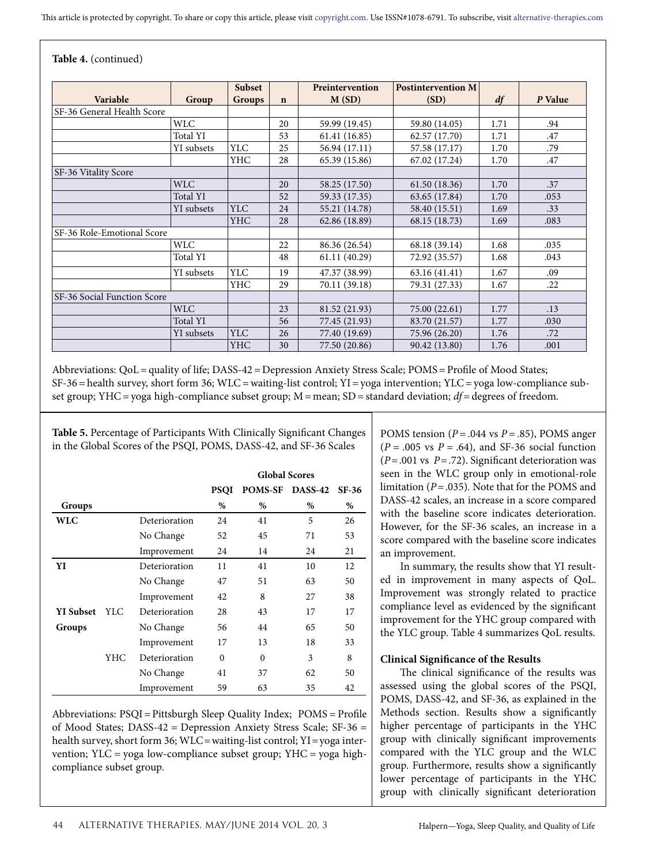|  | Table 4. (continued) |
|--|----------------------|
|--|----------------------|

|                             |            | <b>Subset</b> |             | Preintervention | <b>Postintervention M</b> |      |         |
|-----------------------------|------------|---------------|-------------|-----------------|---------------------------|------|---------|
| Variable                    | Group      | <b>Groups</b> | $\mathbf n$ | M(SD)           | (SD)                      | df   | P Value |
| SF-36 General Health Score  |            |               |             |                 |                           |      |         |
|                             | <b>WLC</b> |               | 20          | 59.99 (19.45)   | 59.80 (14.05)             | 1.71 | .94     |
|                             | Total YI   |               | 53          | 61.41 (16.85)   | 62.57 (17.70)             | 1.71 | .47     |
|                             | YI subsets | <b>YLC</b>    | 25          | 56.94 (17.11)   | 57.58 (17.17)             | 1.70 | .79     |
|                             |            | <b>YHC</b>    | 28          | 65.39 (15.86)   | 67.02 (17.24)             | 1.70 | .47     |
| SF-36 Vitality Score        |            |               |             |                 |                           |      |         |
|                             | <b>WLC</b> |               | 20          | 58.25 (17.50)   | 61.50 (18.36)             | 1.70 | .37     |
|                             | Total YI   |               | 52          | 59.33 (17.35)   | 63.65 (17.84)             | 1.70 | .053    |
|                             | YI subsets | <b>YLC</b>    | 24          | 55.21 (14.78)   | 58.40 (15.51)             | 1.69 | .33     |
|                             |            | <b>YHC</b>    | 28          | 62.86 (18.89)   | 68.15 (18.73)             | 1.69 | .083    |
| SF-36 Role-Emotional Score  |            |               |             |                 |                           |      |         |
|                             | <b>WLC</b> |               | 22          | 86.36 (26.54)   | 68.18 (39.14)             | 1.68 | .035    |
|                             | Total YI   |               | 48          | 61.11 (40.29)   | 72.92 (35.57)             | 1.68 | .043    |
|                             | YI subsets | <b>YLC</b>    | 19          | 47.37 (38.99)   | 63.16 (41.41)             | 1.67 | .09     |
|                             |            | <b>YHC</b>    | 29          | 70.11 (39.18)   | 79.31 (27.33)             | 1.67 | .22     |
| SF-36 Social Function Score |            |               |             |                 |                           |      |         |
|                             | <b>WLC</b> |               | 23          | 81.52 (21.93)   | 75.00 (22.61)             | 1.77 | .13     |
|                             | Total YI   |               | 56          | 77.45 (21.93)   | 83.70 (21.57)             | 1.77 | .030    |
|                             | YI subsets | <b>YLC</b>    | 26          | 77.40 (19.69)   | 75.96 (26.20)             | 1.76 | .72     |
|                             |            | YHC           | 30          | 77.50 (20.86)   | 90.42 (13.80)             | 1.76 | .001    |

Abbreviations: QoL = quality of life; DASS-42 = Depression Anxiety Stress Scale; POMS = Profile of Mood States; SF-36 = health survey, short form 36; WLC = waiting-list control; YI = yoga intervention; YLC = yoga low-compliance subset group; YHC = yoga high-compliance subset group;  $M$  = mean; SD = standard deviation;  $df$  = degrees of freedom.

**Table 5.** Percentage of Participants With Clinically Significant Changes in the Global Scores of the PSQI, POMS, DASS-42, and SF-36 Scales

|                  |            |               |             | <b>Global Scores</b> |                |       |
|------------------|------------|---------------|-------------|----------------------|----------------|-------|
|                  |            |               | <b>PSOI</b> | <b>POMS-SF</b>       | <b>DASS-42</b> | SF-36 |
| Groups           |            |               | %           | %                    | %              | %     |
| <b>WLC</b>       |            | Deterioration | 24          | 41                   | 5              | 26    |
|                  |            | No Change     | 52          | 45                   | 71             | 53    |
|                  |            | Improvement   | 24          | 14                   | 24             | 21    |
| YI               |            | Deterioration | 11          | 41                   | 10             | 12    |
|                  |            | No Change     | 47          | 51                   | 63             | 50    |
|                  |            | Improvement   | 42          | 8                    | 27             | 38    |
| <b>YI Subset</b> | <b>YLC</b> | Deterioration | 28          | 43                   | 17             | 17    |
| Groups           |            | No Change     | 56          | 44                   | 65             | 50    |
|                  |            | Improvement   | 17          | 13                   | 18             | 33    |
|                  | <b>YHC</b> | Deterioration | $\Omega$    | $\theta$             | 3              | 8     |
|                  |            | No Change     | 41          | 37                   | 62             | 50    |
|                  |            | Improvement   | 59          | 63                   | 35             | 42    |

Abbreviations: PSQI=Pittsburgh Sleep Quality Index; POMS = Profile of Mood States; DASS-42 = Depression Anxiety Stress Scale; SF-36 = health survey, short form 36; WLC = waiting-list control; YI = yoga intervention; YLC = yoga low-compliance subset group; YHC = yoga highcompliance subset group.

POMS tension  $(P = .044 \text{ vs } P = .85)$ , POMS anger  $(P = .005 \text{ vs } P = .64)$ , and SF-36 social function (*P* = .001 vs *P* = .72). Significant deterioration was seen in the WLC group only in emotional-role limitation (*P* = .035). Note that for the POMS and DASS-42 scales, an increase in a score compared with the baseline score indicates deterioration. However, for the SF-36 scales, an increase in a score compared with the baseline score indicates an improvement.

In summary, the results show that YI resulted in improvement in many aspects of QoL. Improvement was strongly related to practice compliance level as evidenced by the significant improvement for the YHC group compared with the YLC group. Table 4 summarizes QoL results.

## **Clinical Significance of the Results**

The clinical significance of the results was assessed using the global scores of the PSQI, POMS, DASS-42, and SF-36, as explained in the Methods section. Results show a significantly higher percentage of participants in the YHC group with clinically significant improvements compared with the YLC group and the WLC group. Furthermore, results show a significantly lower percentage of participants in the YHC group with clinically significant deterioration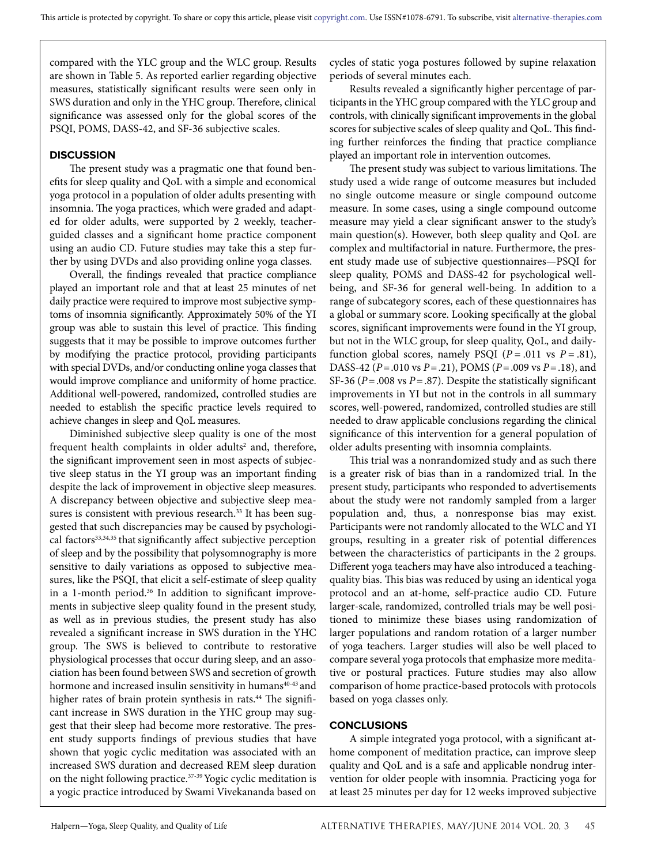compared with the YLC group and the WLC group. Results are shown in Table 5. As reported earlier regarding objective measures, statistically significant results were seen only in SWS duration and only in the YHC group. Therefore, clinical significance was assessed only for the global scores of the PSQI, POMS, DASS-42, and SF-36 subjective scales.

#### **DISCUSSION**

The present study was a pragmatic one that found benefits for sleep quality and QoL with a simple and economical yoga protocol in a population of older adults presenting with insomnia. The yoga practices, which were graded and adapted for older adults, were supported by 2 weekly, teacherguided classes and a significant home practice component using an audio CD. Future studies may take this a step further by using DVDs and also providing online yoga classes.

Overall, the findings revealed that practice compliance played an important role and that at least 25 minutes of net daily practice were required to improve most subjective symptoms of insomnia significantly. Approximately 50% of the YI group was able to sustain this level of practice. This finding suggests that it may be possible to improve outcomes further by modifying the practice protocol, providing participants with special DVDs, and/or conducting online yoga classes that would improve compliance and uniformity of home practice. Additional well-powered, randomized, controlled studies are needed to establish the specific practice levels required to achieve changes in sleep and QoL measures.

Diminished subjective sleep quality is one of the most frequent health complaints in older adults<sup>2</sup> and, therefore, the significant improvement seen in most aspects of subjective sleep status in the YI group was an important finding despite the lack of improvement in objective sleep measures. A discrepancy between objective and subjective sleep measures is consistent with previous research.<sup>33</sup> It has been suggested that such discrepancies may be caused by psychological factors<sup>33,34,35</sup> that significantly affect subjective perception of sleep and by the possibility that polysomnography is more sensitive to daily variations as opposed to subjective measures, like the PSQI, that elicit a self-estimate of sleep quality in a 1-month period.<sup>36</sup> In addition to significant improvements in subjective sleep quality found in the present study, as well as in previous studies, the present study has also revealed a significant increase in SWS duration in the YHC group. The SWS is believed to contribute to restorative physiological processes that occur during sleep, and an association has been found between SWS and secretion of growth hormone and increased insulin sensitivity in humans<sup>40-43</sup> and higher rates of brain protein synthesis in rats.<sup>44</sup> The significant increase in SWS duration in the YHC group may suggest that their sleep had become more restorative. The present study supports findings of previous studies that have shown that yogic cyclic meditation was associated with an increased SWS duration and decreased REM sleep duration on the night following practice.<sup>37-39</sup> Yogic cyclic meditation is a yogic practice introduced by Swami Vivekananda based on

cycles of static yoga postures followed by supine relaxation periods of several minutes each.

Results revealed a significantly higher percentage of participants in the YHC group compared with the YLC group and controls, with clinically significant improvements in the global scores for subjective scales of sleep quality and QoL. This finding further reinforces the finding that practice compliance played an important role in intervention outcomes.

The present study was subject to various limitations. The study used a wide range of outcome measures but included no single outcome measure or single compound outcome measure. In some cases, using a single compound outcome measure may yield a clear significant answer to the study's main question(s). However, both sleep quality and QoL are complex and multifactorial in nature. Furthermore, the present study made use of subjective questionnaires—PSQI for sleep quality, POMS and DASS-42 for psychological wellbeing, and SF-36 for general well-being. In addition to a range of subcategory scores, each of these questionnaires has a global or summary score. Looking specifically at the global scores, significant improvements were found in the YI group, but not in the WLC group, for sleep quality, QoL, and dailyfunction global scores, namely PSQI  $(P = .011 \text{ vs } P = .81)$ , DASS-42 (*P*=.010 vs *P*=.21), POMS (*P*=.009 vs *P*=.18), and SF-36 (*P*=.008 vs *P*=.87). Despite the statistically significant improvements in YI but not in the controls in all summary scores, well-powered, randomized, controlled studies are still needed to draw applicable conclusions regarding the clinical significance of this intervention for a general population of older adults presenting with insomnia complaints.

This trial was a nonrandomized study and as such there is a greater risk of bias than in a randomized trial. In the present study, participants who responded to advertisements about the study were not randomly sampled from a larger population and, thus, a nonresponse bias may exist. Participants were not randomly allocated to the WLC and YI groups, resulting in a greater risk of potential differences between the characteristics of participants in the 2 groups. Different yoga teachers may have also introduced a teachingquality bias. This bias was reduced by using an identical yoga protocol and an at-home, self-practice audio CD. Future larger-scale, randomized, controlled trials may be well positioned to minimize these biases using randomization of larger populations and random rotation of a larger number of yoga teachers. Larger studies will also be well placed to compare several yoga protocols that emphasize more meditative or postural practices. Future studies may also allow comparison of home practice-based protocols with protocols based on yoga classes only.

#### **CONCLUSIONS**

A simple integrated yoga protocol, with a significant athome component of meditation practice, can improve sleep quality and QoL and is a safe and applicable nondrug intervention for older people with insomnia. Practicing yoga for at least 25 minutes per day for 12 weeks improved subjective